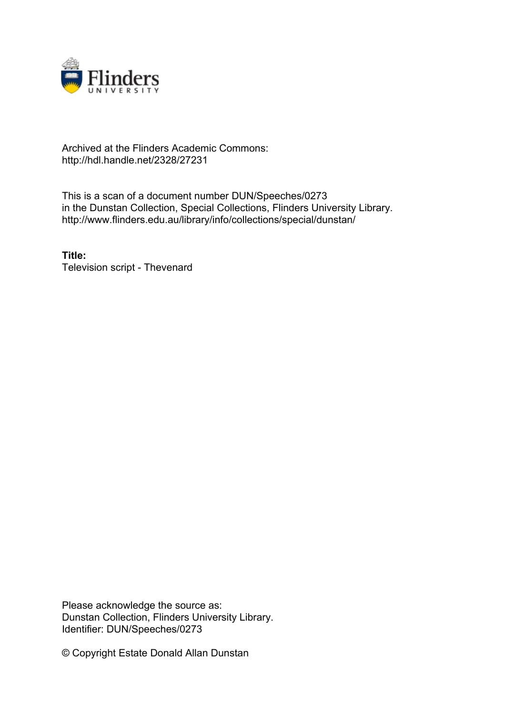

### Archived at the Flinders Academic Commons: http://hdl.handle.net/2328/27231

This is a scan of a document number DUN/Speeches/0273 in the Dunstan Collection, Special Collections, Flinders University Library. http://www.flinders.edu.au/library/info/collections/special/dunstan/

**Title:** Television script - Thevenard

Please acknowledge the source as: Dunstan Collection, Flinders University Library. Identifier: DUN/Speeches/0273

© Copyright Estate Donald Allan Dunstan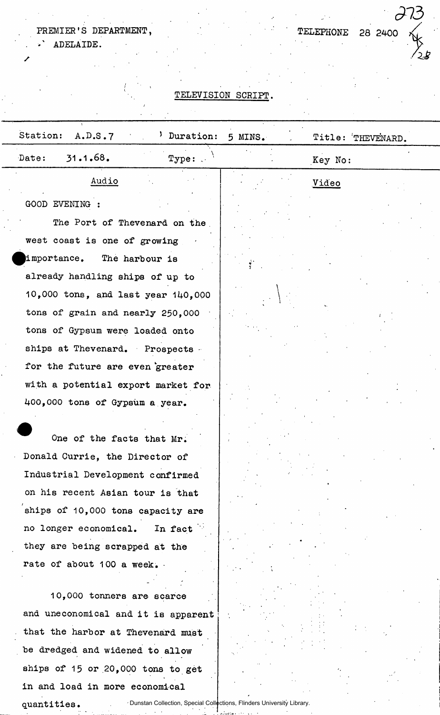# PREMIER'S DEPARTMENT,

/

TELEPHONE 28 2400

*<913* 

' . ADELAIDE.

/

#### TELEVISION SCRIPT.

| Station:<br>A.D.S.7                | Duration:                           | 5 MINS. | Title: THEVENARD. |  |
|------------------------------------|-------------------------------------|---------|-------------------|--|
| 31.1.68.<br>Date:                  | $Type:$ .                           |         | Key No:           |  |
| Audio                              |                                     |         | <u>Video</u>      |  |
| GOOD EVENING :                     |                                     |         |                   |  |
|                                    | The Port of Thevenard on the        |         |                   |  |
| west coast is one of growing       |                                     |         |                   |  |
| importance. The harbour is         |                                     |         |                   |  |
| already handling ships of up to    |                                     |         |                   |  |
|                                    | 10,000 tons, and last year 140,000  |         |                   |  |
| tons of grain and nearly 250,000   |                                     |         |                   |  |
| tons of Gypsum were loaded onto    |                                     |         |                   |  |
| ships at Thevenard. Prospects.     |                                     |         |                   |  |
| for the future are even greater    |                                     |         |                   |  |
| with a potential export market for |                                     |         |                   |  |
| 400,000 tons of Gypsum a year.     |                                     |         |                   |  |
|                                    |                                     |         |                   |  |
|                                    | One of the facts that Mr.           |         |                   |  |
| Donald Currie, the Director of     |                                     |         |                   |  |
| Industrial Development confirmed   |                                     |         |                   |  |
| on his recent Asian tour is that   |                                     |         |                   |  |
| ships of 10,000 tons capacity are  |                                     |         |                   |  |
| no longer economical.              | In fact                             |         |                   |  |
| they are being scrapped at the     |                                     |         |                   |  |
| rate of about 100 a week.          |                                     |         |                   |  |
|                                    | 10,000 tonners are scarce           |         |                   |  |
|                                    | and uneconomical and it is apparent |         |                   |  |
| that the harbor at Thevenard must  |                                     |         |                   |  |
| be dredged and widened to allow    |                                     |         |                   |  |
| ships of 15 or 20,000 tons to get  |                                     |         |                   |  |

quantities.

in and load in more economical

Dunstan Collection, Special Collections, Flinders University Library.دى.<br>مەنبەتلىك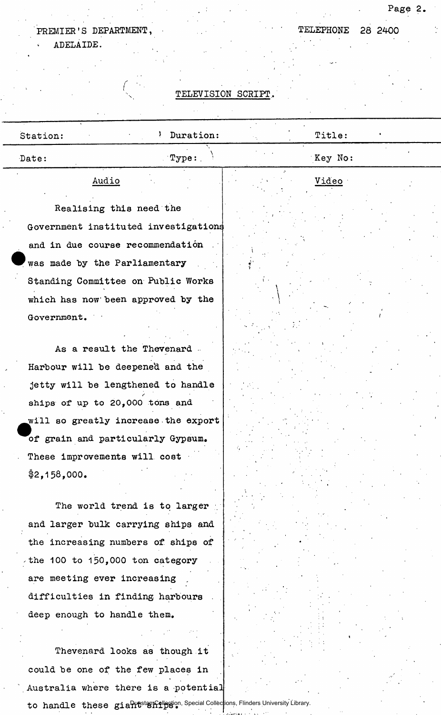## PREMIER'S DEPARTMENT, TELEPHONE 28 2400 < ADELAIDE.

• • . /

Page 2.

#### TELEVISION SCRIPT,

| Station: |       |      | Duration:         | Title:  |  |
|----------|-------|------|-------------------|---------|--|
| Date:    |       |      | $\mathbb{T}$ ype: | Key No: |  |
|          | Audio | $ -$ |                   | Video   |  |

\

Realising this need the Government instituted investigations and in due course recommendation was made by the Parliamentary Standing Committee on Public Works which has now been approved by the Government.

As a result the Thevenard Harbour will be deepened and the jetty will be lengthened to handle *(*  ships of up to 20,000 tons and will so greatly increase the export of grain and particularly Gypsum. These improvements will cost **\$2,158,000.** 

The world trend is to larger and larger bulk carrying ships and the increasing numbers of ships of the 100 to 150,000 ton category are meeting ever increasing difficulties in finding harbours deep enough to handle them.

Thevenard looks as though it could be one of the few places in Australia where there is a potential to handle these giahtstan pledion, Special Collections, Flinders University Library.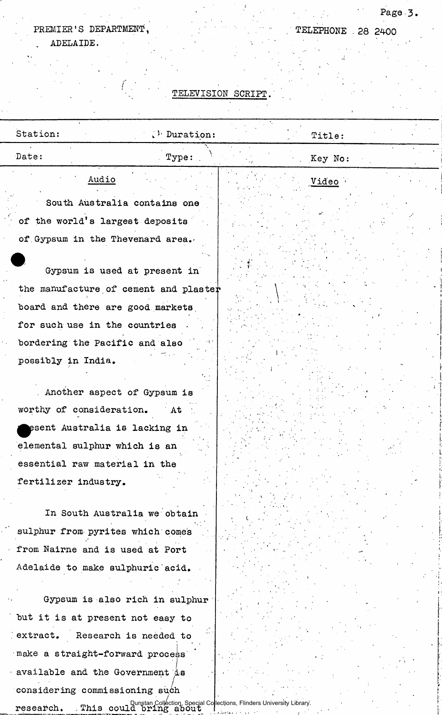#### PREMIER'S DEPARTMENT, ADELAIDE. l,

TELEPHONE . 28 2400

t.

 $\sigma_{\rm{eff}}$ 

Page 3.

## **TELEVISION SCRIPT.**

| Station:<br>$\mathcal{P}$ Duration:<br>Title:<br>Date:<br>Type:<br>Key No:<br>Audio<br>Video<br>South Australia contains one<br>of the world's largest deposits<br>of Gypsum in the Thevenard area.<br>Gypsum is used at present in<br>the manufacture of cement and plaster<br>board and there are good markets<br>for such use in the countries<br>bordering the Pacific and also<br>possibly in India.<br>. Another aspect of Gypsum is<br>worthy of consideration.<br>At<br>esent Australia is lacking in<br>elemental sulphur which is an<br>essential raw material in the<br>fertilizer industry.<br>In South Australia we obtain<br>sulphur from pyrites which comes<br>from Nairne and is used at Port<br>Adelaide to make sulphuric acid.<br>Gypsum is also rich in sulphur<br>but it is at present not easy to<br>extract. Research is needed to<br>make a straight-forward process<br>available and the Government is<br>considering commissioning such<br>research. This could bring about Collection, Special Collections, Flinders University Library. |  |  |  |
|----------------------------------------------------------------------------------------------------------------------------------------------------------------------------------------------------------------------------------------------------------------------------------------------------------------------------------------------------------------------------------------------------------------------------------------------------------------------------------------------------------------------------------------------------------------------------------------------------------------------------------------------------------------------------------------------------------------------------------------------------------------------------------------------------------------------------------------------------------------------------------------------------------------------------------------------------------------------------------------------------------------------------------------------------------------------|--|--|--|
|                                                                                                                                                                                                                                                                                                                                                                                                                                                                                                                                                                                                                                                                                                                                                                                                                                                                                                                                                                                                                                                                      |  |  |  |
|                                                                                                                                                                                                                                                                                                                                                                                                                                                                                                                                                                                                                                                                                                                                                                                                                                                                                                                                                                                                                                                                      |  |  |  |
|                                                                                                                                                                                                                                                                                                                                                                                                                                                                                                                                                                                                                                                                                                                                                                                                                                                                                                                                                                                                                                                                      |  |  |  |
|                                                                                                                                                                                                                                                                                                                                                                                                                                                                                                                                                                                                                                                                                                                                                                                                                                                                                                                                                                                                                                                                      |  |  |  |
|                                                                                                                                                                                                                                                                                                                                                                                                                                                                                                                                                                                                                                                                                                                                                                                                                                                                                                                                                                                                                                                                      |  |  |  |
|                                                                                                                                                                                                                                                                                                                                                                                                                                                                                                                                                                                                                                                                                                                                                                                                                                                                                                                                                                                                                                                                      |  |  |  |
|                                                                                                                                                                                                                                                                                                                                                                                                                                                                                                                                                                                                                                                                                                                                                                                                                                                                                                                                                                                                                                                                      |  |  |  |
|                                                                                                                                                                                                                                                                                                                                                                                                                                                                                                                                                                                                                                                                                                                                                                                                                                                                                                                                                                                                                                                                      |  |  |  |
|                                                                                                                                                                                                                                                                                                                                                                                                                                                                                                                                                                                                                                                                                                                                                                                                                                                                                                                                                                                                                                                                      |  |  |  |
|                                                                                                                                                                                                                                                                                                                                                                                                                                                                                                                                                                                                                                                                                                                                                                                                                                                                                                                                                                                                                                                                      |  |  |  |
|                                                                                                                                                                                                                                                                                                                                                                                                                                                                                                                                                                                                                                                                                                                                                                                                                                                                                                                                                                                                                                                                      |  |  |  |
|                                                                                                                                                                                                                                                                                                                                                                                                                                                                                                                                                                                                                                                                                                                                                                                                                                                                                                                                                                                                                                                                      |  |  |  |
|                                                                                                                                                                                                                                                                                                                                                                                                                                                                                                                                                                                                                                                                                                                                                                                                                                                                                                                                                                                                                                                                      |  |  |  |
|                                                                                                                                                                                                                                                                                                                                                                                                                                                                                                                                                                                                                                                                                                                                                                                                                                                                                                                                                                                                                                                                      |  |  |  |
|                                                                                                                                                                                                                                                                                                                                                                                                                                                                                                                                                                                                                                                                                                                                                                                                                                                                                                                                                                                                                                                                      |  |  |  |
|                                                                                                                                                                                                                                                                                                                                                                                                                                                                                                                                                                                                                                                                                                                                                                                                                                                                                                                                                                                                                                                                      |  |  |  |
|                                                                                                                                                                                                                                                                                                                                                                                                                                                                                                                                                                                                                                                                                                                                                                                                                                                                                                                                                                                                                                                                      |  |  |  |
|                                                                                                                                                                                                                                                                                                                                                                                                                                                                                                                                                                                                                                                                                                                                                                                                                                                                                                                                                                                                                                                                      |  |  |  |
|                                                                                                                                                                                                                                                                                                                                                                                                                                                                                                                                                                                                                                                                                                                                                                                                                                                                                                                                                                                                                                                                      |  |  |  |
|                                                                                                                                                                                                                                                                                                                                                                                                                                                                                                                                                                                                                                                                                                                                                                                                                                                                                                                                                                                                                                                                      |  |  |  |
|                                                                                                                                                                                                                                                                                                                                                                                                                                                                                                                                                                                                                                                                                                                                                                                                                                                                                                                                                                                                                                                                      |  |  |  |
|                                                                                                                                                                                                                                                                                                                                                                                                                                                                                                                                                                                                                                                                                                                                                                                                                                                                                                                                                                                                                                                                      |  |  |  |
|                                                                                                                                                                                                                                                                                                                                                                                                                                                                                                                                                                                                                                                                                                                                                                                                                                                                                                                                                                                                                                                                      |  |  |  |
|                                                                                                                                                                                                                                                                                                                                                                                                                                                                                                                                                                                                                                                                                                                                                                                                                                                                                                                                                                                                                                                                      |  |  |  |
|                                                                                                                                                                                                                                                                                                                                                                                                                                                                                                                                                                                                                                                                                                                                                                                                                                                                                                                                                                                                                                                                      |  |  |  |
|                                                                                                                                                                                                                                                                                                                                                                                                                                                                                                                                                                                                                                                                                                                                                                                                                                                                                                                                                                                                                                                                      |  |  |  |
|                                                                                                                                                                                                                                                                                                                                                                                                                                                                                                                                                                                                                                                                                                                                                                                                                                                                                                                                                                                                                                                                      |  |  |  |
|                                                                                                                                                                                                                                                                                                                                                                                                                                                                                                                                                                                                                                                                                                                                                                                                                                                                                                                                                                                                                                                                      |  |  |  |
|                                                                                                                                                                                                                                                                                                                                                                                                                                                                                                                                                                                                                                                                                                                                                                                                                                                                                                                                                                                                                                                                      |  |  |  |
|                                                                                                                                                                                                                                                                                                                                                                                                                                                                                                                                                                                                                                                                                                                                                                                                                                                                                                                                                                                                                                                                      |  |  |  |
|                                                                                                                                                                                                                                                                                                                                                                                                                                                                                                                                                                                                                                                                                                                                                                                                                                                                                                                                                                                                                                                                      |  |  |  |
|                                                                                                                                                                                                                                                                                                                                                                                                                                                                                                                                                                                                                                                                                                                                                                                                                                                                                                                                                                                                                                                                      |  |  |  |
|                                                                                                                                                                                                                                                                                                                                                                                                                                                                                                                                                                                                                                                                                                                                                                                                                                                                                                                                                                                                                                                                      |  |  |  |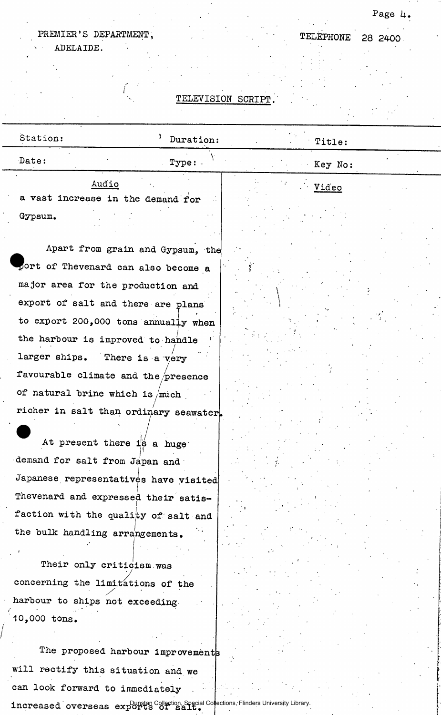## Page 4.

TELEPHONE 28 2400

## PREMIER'S DEPARTMENT,

 $\mathcal{L}_{\mathcal{A}}$ 

ADELAIDE.

### **TELEVISION SCRIPT.**

| Station:                                                                                           | Duration: | Title:  |
|----------------------------------------------------------------------------------------------------|-----------|---------|
| Date:                                                                                              | Type:     | Key No: |
| Audio<br>a vast increase in the demand for                                                         |           | Video   |
| Gypsum.                                                                                            |           |         |
| Apart from grain and Gypsum, the                                                                   |           |         |
| port of Thevenard can also become a                                                                |           |         |
| major area for the production and                                                                  |           |         |
| export of salt and there are plans                                                                 |           |         |
| to export 200,000 tons annually when                                                               |           |         |
| the harbour is improved to handle                                                                  |           |         |
| larger ships. There is a very                                                                      |           |         |
| favourable climate and the presence                                                                |           |         |
| of natural brine which is /much                                                                    |           |         |
| richer in salt than ordinary seawater.                                                             |           |         |
| At present there is a huge.                                                                        |           |         |
| demand for salt from Japan and                                                                     |           |         |
| Japanese representatives have visited                                                              |           |         |
| Thevenard and expressed their satis-                                                               |           |         |
| faction with the quality of salt and                                                               |           |         |
| the bulk handling arrangements.<br>Their only criticism was                                        |           |         |
| concerning the limitations of the                                                                  |           |         |
| harbour to ships not exceeding.                                                                    |           |         |
| 10,000 tons.                                                                                       |           |         |
|                                                                                                    |           |         |
| The proposed harbour improvements                                                                  |           |         |
| will rectify this situation and we                                                                 |           |         |
| can look forward to immediately                                                                    |           |         |
| increased overseas explores Off Saits Collection Special Collections, Flinders University Library. |           |         |